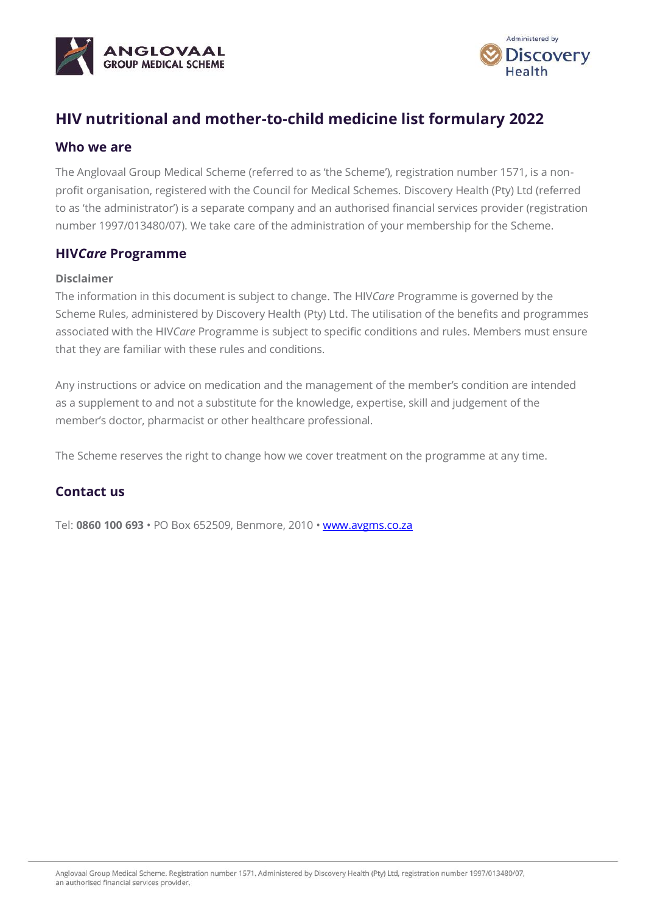



# **HIV nutritional and mother-to-child medicine list formulary 2022**

### **Who we are**

The Anglovaal Group Medical Scheme (referred to as 'the Scheme'), registration number 1571, is a nonprofit organisation, registered with the Council for Medical Schemes. Discovery Health (Pty) Ltd (referred to as 'the administrator') is a separate company and an authorised financial services provider (registration number 1997/013480/07). We take care of the administration of your membership for the Scheme.

## **HIV***Care* **Programme**

#### **Disclaimer**

The information in this document is subject to change. The HIV*Care* Programme is governed by the Scheme Rules, administered by Discovery Health (Pty) Ltd. The utilisation of the benefits and programmes associated with the HIV*Care* Programme is subject to specific conditions and rules. Members must ensure that they are familiar with these rules and conditions.

Any instructions or advice on medication and the management of the member's condition are intended as a supplement to and not a substitute for the knowledge, expertise, skill and judgement of the member's doctor, pharmacist or other healthcare professional.

The Scheme reserves the right to change how we cover treatment on the programme at any time.

## **Contact us**

Tel: **0860 100 693** • PO Box 652509, Benmore, 2010 • [www.avgms.co.za](http://www.avgms.co.za/)